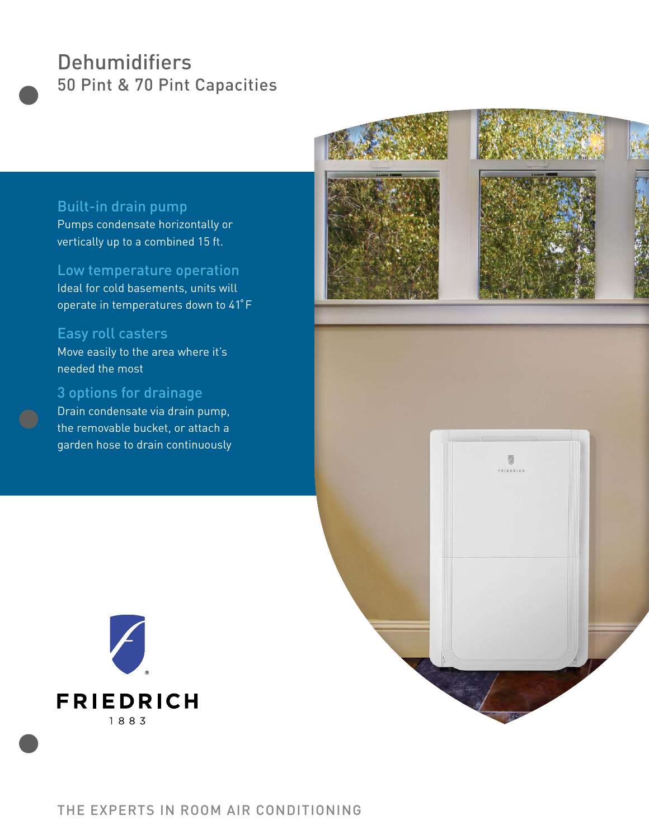# **Dehumidifiers** 50 Pint & 70 Pint Capacities



Pumps condensate horizontally or vertically up to a combined 15 ft.

Low temperature operation Ideal for cold basements, units will

operate in temperatures down to 41°F

## Easy roll casters

Move easily to the area where it's needed the most

### 3 options for drainage

Drain condensate via drain pump, the removable bucket, or attach a garden hose to drain continuously



四 FRIEDRICH